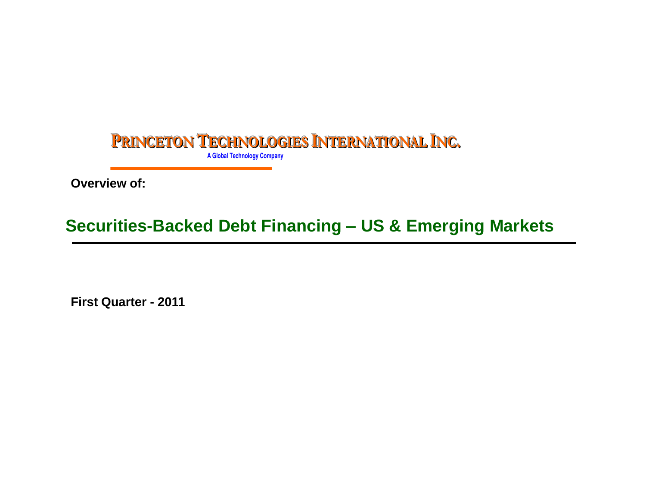

**Overview of:**

# **Securities-Backed Debt Financing – US & Emerging Markets**

**First Quarter - 2011**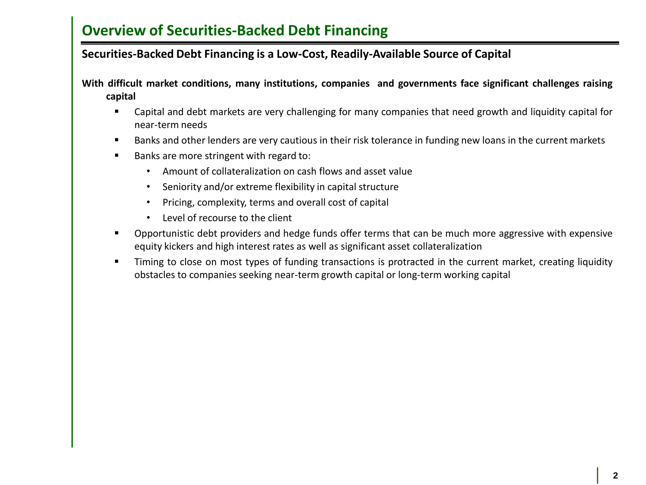#### **Securities-Backed Debt Financing is a Low-Cost, Readily-Available Source of Capital**

**With difficult market conditions, many institutions, companies and governments face significant challenges raising capital**

- Capital and debt markets are very challenging for many companies that need growth and liquidity capital for near-term needs
- Banks and other lenders are very cautious in their risk tolerance in funding new loans in the current markets
- Banks are more stringent with regard to:
	- Amount of collateralization on cash flows and asset value
	- Seniority and/or extreme flexibility in capital structure
	- Pricing, complexity, terms and overall cost of capital
	- Level of recourse to the client
- Opportunistic debt providers and hedge funds offer terms that can be much more aggressive with expensive equity kickers and high interest rates as well as significant asset collateralization
- Timing to close on most types of funding transactions is protracted in the current market, creating liquidity obstacles to companies seeking near-term growth capital or long-term working capital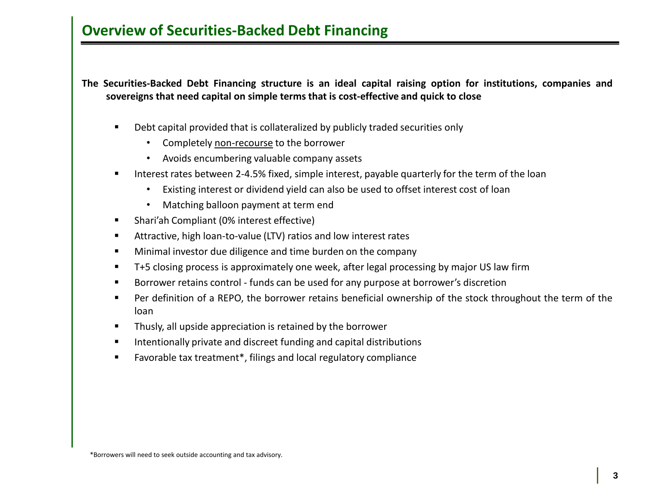**The Securities-Backed Debt Financing structure is an ideal capital raising option for institutions, companies and sovereigns that need capital on simple terms that is cost-effective and quick to close**

- Debt capital provided that is collateralized by publicly traded securities only
	- Completely non-recourse to the borrower
	- Avoids encumbering valuable company assets
- **IDED 11** Interest rates between 2-4.5% fixed, simple interest, payable quarterly for the term of the loan
	- Existing interest or dividend yield can also be used to offset interest cost of loan
	- Matching balloon payment at term end
- Shari'ah Compliant (0% interest effective)
- Attractive, high loan-to-value (LTV) ratios and low interest rates
- **Minimal investor due diligence and time burden on the company**
- T+5 closing process is approximately one week, after legal processing by major US law firm
- Borrower retains control funds can be used for any purpose at borrower's discretion
- Per definition of a REPO, the borrower retains beneficial ownership of the stock throughout the term of the loan
- **Thusly, all upside appreciation is retained by the borrower**
- **Intentionally private and discreet funding and capital distributions**
- Favorable tax treatment\*, filings and local regulatory compliance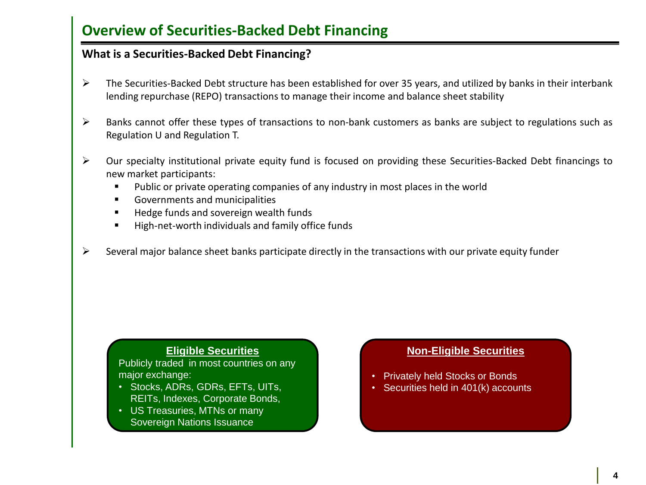#### **What is a Securities-Backed Debt Financing?**

- $\triangleright$  The Securities-Backed Debt structure has been established for over 35 years, and utilized by banks in their interbank lending repurchase (REPO) transactions to manage their income and balance sheet stability
- $\triangleright$  Banks cannot offer these types of transactions to non-bank customers as banks are subject to regulations such as Regulation U and Regulation T.
- Our specialty institutional private equity fund is focused on providing these Securities-Backed Debt financings to new market participants:
	- Public or private operating companies of any industry in most places in the world
	- **Governments and municipalities**
	- Hedge funds and sovereign wealth funds
	- **High-net-worth individuals and family office funds**
- $\triangleright$  Several major balance sheet banks participate directly in the transactions with our private equity funder

#### **Eligible Securities**

Publicly traded in most countries on any major exchange:

- Stocks, ADRs, GDRs, EFTs, UITs, REITs, Indexes, Corporate Bonds,
- US Treasuries, MTNs or many Sovereign Nations Issuance

#### **Non-Eligible Securities**

- Privately held Stocks or Bonds
- Securities held in 401(k) accounts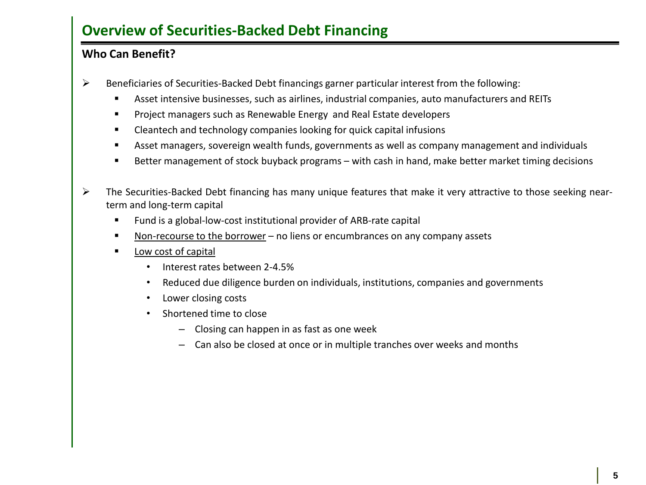#### **Who Can Benefit?**

- $\triangleright$  Beneficiaries of Securities-Backed Debt financings garner particular interest from the following:
	- Asset intensive businesses, such as airlines, industrial companies, auto manufacturers and REITs
	- **Project managers such as Renewable Energy and Real Estate developers**
	- Cleantech and technology companies looking for quick capital infusions
	- Asset managers, sovereign wealth funds, governments as well as company management and individuals
	- Better management of stock buyback programs with cash in hand, make better market timing decisions
- The Securities-Backed Debt financing has many unique features that make it very attractive to those seeking nearterm and long-term capital
	- Fund is a global-low-cost institutional provider of ARB-rate capital
	- Non-recourse to the borrower no liens or encumbrances on any company assets
	- **Low cost of capital** 
		- Interest rates between 2-4.5%
		- Reduced due diligence burden on individuals, institutions, companies and governments
		- Lower closing costs
		- Shortened time to close
			- Closing can happen in as fast as one week
			- Can also be closed at once or in multiple tranches over weeks and months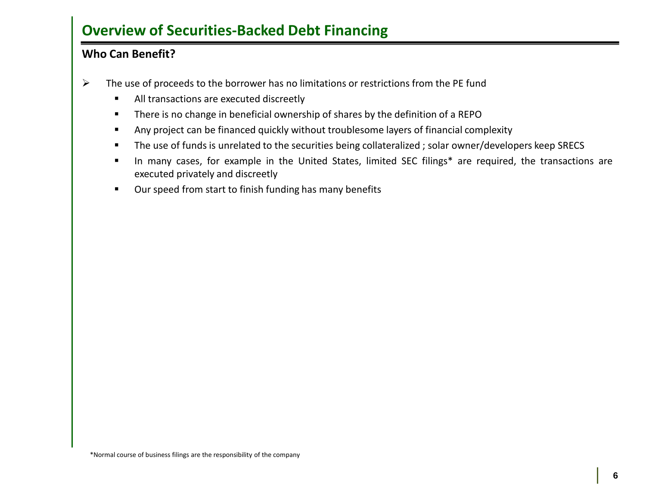#### **Who Can Benefit?**

- $\triangleright$  The use of proceeds to the borrower has no limitations or restrictions from the PE fund
	- All transactions are executed discreetly
	- **There is no change in beneficial ownership of shares by the definition of a REPO**
	- Any project can be financed quickly without troublesome layers of financial complexity
	- **The use of funds is unrelated to the securities being collateralized ; solar owner/developers keep SRECS**
	- In many cases, for example in the United States, limited SEC filings\* are required, the transactions are executed privately and discreetly
	- **•** Our speed from start to finish funding has many benefits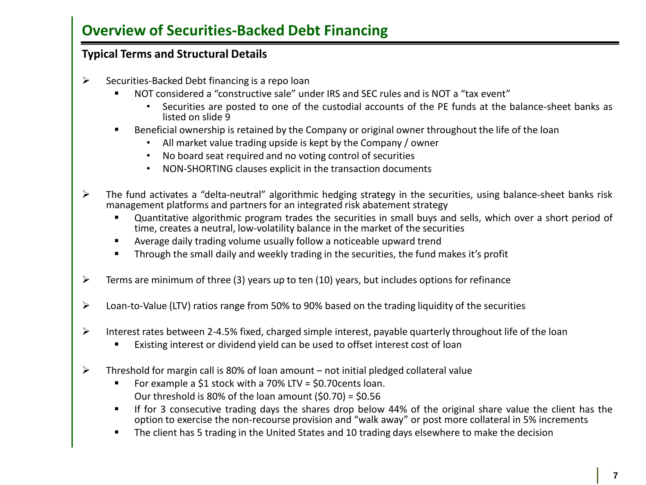#### **Typical Terms and Structural Details**

- $\triangleright$  Securities-Backed Debt financing is a repo loan
	- NOT considered a "constructive sale" under IRS and SEC rules and is NOT a "tax event"
		- Securities are posted to one of the custodial accounts of the PE funds at the balance-sheet banks as listed on slide 9
	- Beneficial ownership is retained by the Company or original owner throughout the life of the loan
		- All market value trading upside is kept by the Company / owner
		- No board seat required and no voting control of securities
		- NON-SHORTING clauses explicit in the transaction documents
- $\triangleright$  The fund activates a "delta-neutral" algorithmic hedging strategy in the securities, using balance-sheet banks risk management platforms and partners for an integrated risk abatement strategy
	- Quantitative algorithmic program trades the securities in small buys and sells, which over a short period of time, creates a neutral, low-volatility balance in the market of the securities
	- Average daily trading volume usually follow a noticeable upward trend
	- Through the small daily and weekly trading in the securities, the fund makes it's profit
- $\triangleright$  Terms are minimum of three (3) years up to ten (10) years, but includes options for refinance
- Loan-to-Value (LTV) ratios range from 50% to 90% based on the trading liquidity of the securities
- Interest rates between 2-4.5% fixed, charged simple interest, payable quarterly throughout life of the loan
	- Existing interest or dividend yield can be used to offset interest cost of loan
- $\triangleright$  Threshold for margin call is 80% of loan amount not initial pledged collateral value
	- For example a \$1 stock with a 70% LTV = \$0.70cents loan. Our threshold is 80% of the loan amount  $(50.70) = 50.56$
	- If for 3 consecutive trading days the shares drop below 44% of the original share value the client has the option to exercise the non-recourse provision and "walk away" or post more collateral in 5% increments
	- **The client has 5 trading in the United States and 10 trading days elsewhere to make the decision**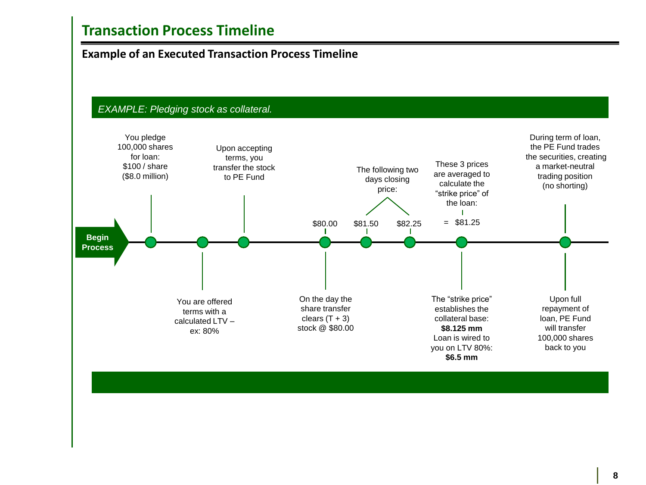### **Transaction Process Timeline**

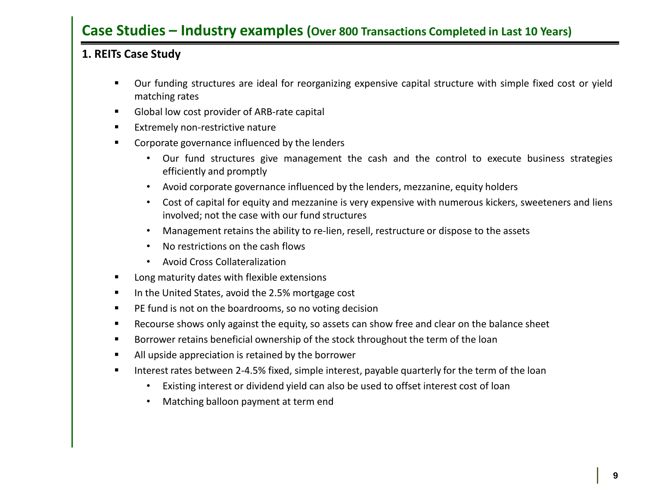### **Case Studies – Industry examples (Over 800 Transactions Completed in Last 10 Years)**

### **1. REITs Case Study**

- Our funding structures are ideal for reorganizing expensive capital structure with simple fixed cost or yield matching rates
- Global low cost provider of ARB-rate capital
- **Extremely non-restrictive nature**
- **EXECO CORPOREG** CORPORE INCOCCLEDUCE **CORPOREGIST** 
	- Our fund structures give management the cash and the control to execute business strategies efficiently and promptly
	- Avoid corporate governance influenced by the lenders, mezzanine, equity holders
	- Cost of capital for equity and mezzanine is very expensive with numerous kickers, sweeteners and liens involved; not the case with our fund structures
	- Management retains the ability to re-lien, resell, restructure or dispose to the assets
	- No restrictions on the cash flows
	- Avoid Cross Collateralization
- **EXEC** Long maturity dates with flexible extensions
- In the United States, avoid the 2.5% mortgage cost
- **PE fund is not on the boardrooms, so no voting decision**
- Recourse shows only against the equity, so assets can show free and clear on the balance sheet
- Borrower retains beneficial ownership of the stock throughout the term of the loan
- All upside appreciation is retained by the borrower
- **IFM** Interest rates between 2-4.5% fixed, simple interest, payable quarterly for the term of the loan
	- Existing interest or dividend yield can also be used to offset interest cost of loan
	- Matching balloon payment at term end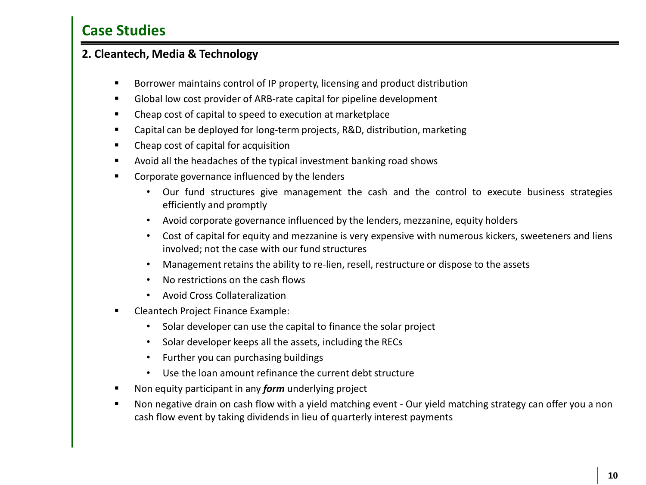### **2. Cleantech, Media & Technology**

- Borrower maintains control of IP property, licensing and product distribution
- Global low cost provider of ARB-rate capital for pipeline development
- Cheap cost of capital to speed to execution at marketplace
- Capital can be deployed for long-term projects, R&D, distribution, marketing
- Cheap cost of capital for acquisition
- Avoid all the headaches of the typical investment banking road shows
- **EXECO CORPOREG** CORPORE INCOCCLEDUCE **CORPOREGIST** 
	- Our fund structures give management the cash and the control to execute business strategies efficiently and promptly
	- Avoid corporate governance influenced by the lenders, mezzanine, equity holders
	- Cost of capital for equity and mezzanine is very expensive with numerous kickers, sweeteners and liens involved; not the case with our fund structures
	- Management retains the ability to re-lien, resell, restructure or dispose to the assets
	- No restrictions on the cash flows
	- Avoid Cross Collateralization
- Cleantech Project Finance Example:
	- Solar developer can use the capital to finance the solar project
	- Solar developer keeps all the assets, including the RECs
	- Further you can purchasing buildings
	- Use the loan amount refinance the current debt structure
- Non equity participant in any *form* underlying project
- Non negative drain on cash flow with a yield matching event Our yield matching strategy can offer you a non cash flow event by taking dividends in lieu of quarterly interest payments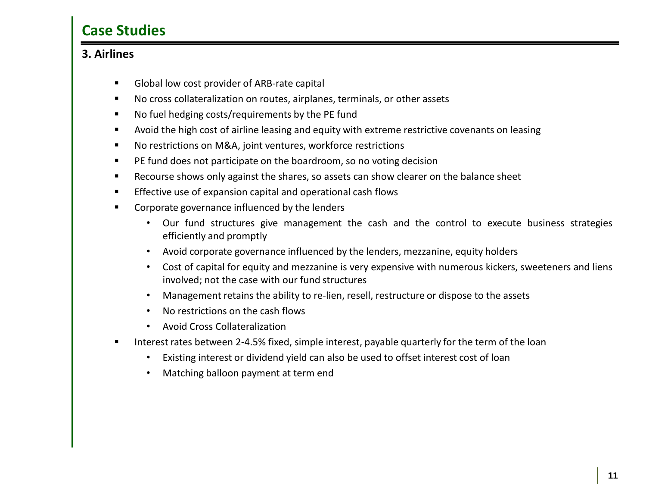#### **3. Airlines**

- Global low cost provider of ARB-rate capital
- No cross collateralization on routes, airplanes, terminals, or other assets
- No fuel hedging costs/requirements by the PE fund
- Avoid the high cost of airline leasing and equity with extreme restrictive covenants on leasing
- No restrictions on M&A, joint ventures, workforce restrictions
- **PE fund does not participate on the boardroom, so no voting decision**
- Recourse shows only against the shares, so assets can show clearer on the balance sheet
- **Effective use of expansion capital and operational cash flows**
- **EXECO CORPORATE:** Corporate governance influenced by the lenders
	- Our fund structures give management the cash and the control to execute business strategies efficiently and promptly
	- Avoid corporate governance influenced by the lenders, mezzanine, equity holders
	- Cost of capital for equity and mezzanine is very expensive with numerous kickers, sweeteners and liens involved; not the case with our fund structures
	- Management retains the ability to re-lien, resell, restructure or dispose to the assets
	- No restrictions on the cash flows
	- Avoid Cross Collateralization
- Interest rates between 2-4.5% fixed, simple interest, payable quarterly for the term of the loan
	- Existing interest or dividend yield can also be used to offset interest cost of loan
	- Matching balloon payment at term end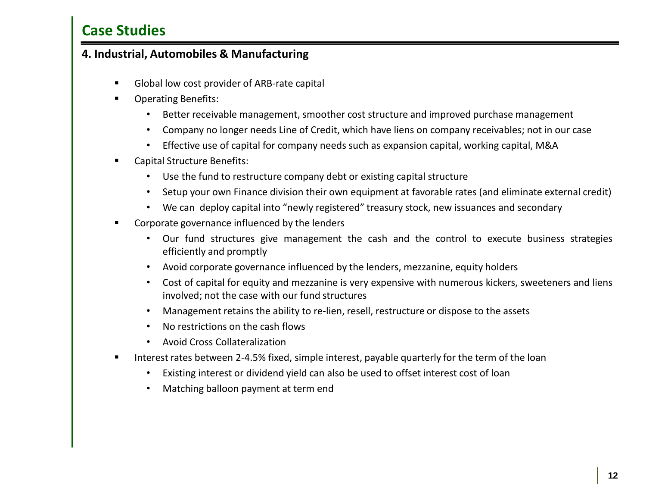#### **4. Industrial, Automobiles & Manufacturing**

- Global low cost provider of ARB-rate capital
- Operating Benefits:
	- Better receivable management, smoother cost structure and improved purchase management
	- Company no longer needs Line of Credit, which have liens on company receivables; not in our case
	- Effective use of capital for company needs such as expansion capital, working capital, M&A
- Capital Structure Benefits:
	- Use the fund to restructure company debt or existing capital structure
	- Setup your own Finance division their own equipment at favorable rates (and eliminate external credit)
	- We can deploy capital into "newly registered" treasury stock, new issuances and secondary
- **EXECO CORPOREG** CORPORE INCOCCLEDUCE **CORPOREGIST** 
	- Our fund structures give management the cash and the control to execute business strategies efficiently and promptly
	- Avoid corporate governance influenced by the lenders, mezzanine, equity holders
	- Cost of capital for equity and mezzanine is very expensive with numerous kickers, sweeteners and liens involved; not the case with our fund structures
	- Management retains the ability to re-lien, resell, restructure or dispose to the assets
	- No restrictions on the cash flows
	- Avoid Cross Collateralization
- **IDED 11** Interest rates between 2-4.5% fixed, simple interest, payable quarterly for the term of the loan
	- Existing interest or dividend yield can also be used to offset interest cost of loan
	- Matching balloon payment at term end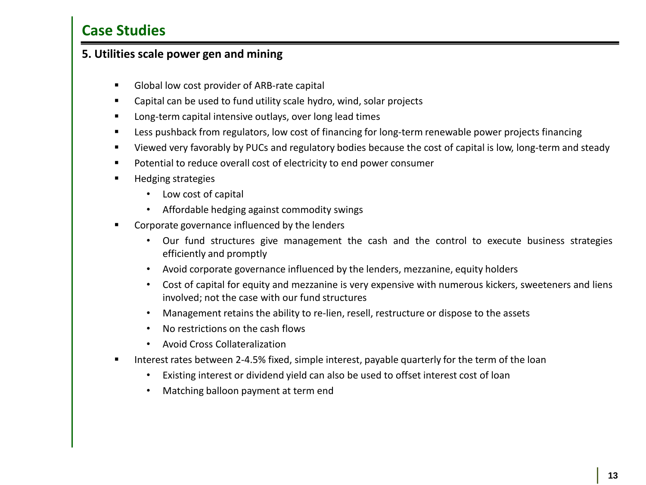#### **5. Utilities scale power gen and mining**

- Global low cost provider of ARB-rate capital
- Capital can be used to fund utility scale hydro, wind, solar projects
- **Long-term capital intensive outlays, over long lead times**
- **EXECT** Less pushback from regulators, low cost of financing for long-term renewable power projects financing
- Viewed very favorably by PUCs and regulatory bodies because the cost of capital is low, long-term and steady
- **Potential to reduce overall cost of electricity to end power consumer**
- **Hedging strategies** 
	- Low cost of capital
	- Affordable hedging against commodity swings
- Corporate governance influenced by the lenders
	- Our fund structures give management the cash and the control to execute business strategies efficiently and promptly
	- Avoid corporate governance influenced by the lenders, mezzanine, equity holders
	- Cost of capital for equity and mezzanine is very expensive with numerous kickers, sweeteners and liens involved; not the case with our fund structures
	- Management retains the ability to re-lien, resell, restructure or dispose to the assets
	- No restrictions on the cash flows
	- Avoid Cross Collateralization
- Interest rates between 2-4.5% fixed, simple interest, payable quarterly for the term of the loan
	- Existing interest or dividend yield can also be used to offset interest cost of loan
	- Matching balloon payment at term end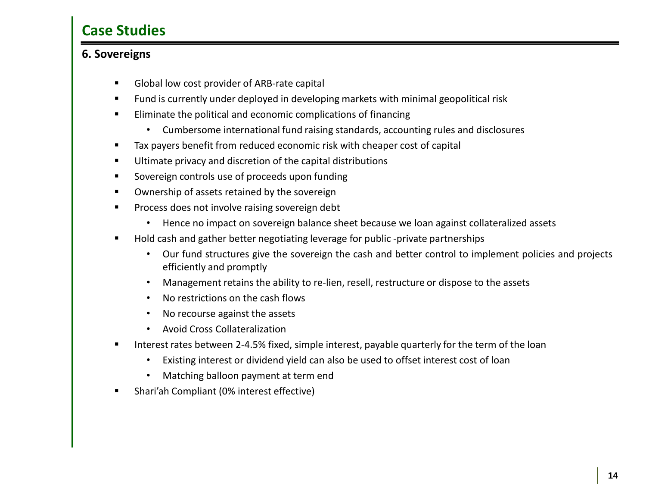### **6. Sovereigns**

- Global low cost provider of ARB-rate capital
- Fund is currently under deployed in developing markets with minimal geopolitical risk
- **Eliminate the political and economic complications of financing** 
	- Cumbersome international fund raising standards, accounting rules and disclosures
- Tax payers benefit from reduced economic risk with cheaper cost of capital
- **Ultimate privacy and discretion of the capital distributions**
- Sovereign controls use of proceeds upon funding
- **Ownership of assets retained by the sovereign**
- **Process does not involve raising sovereign debt** 
	- Hence no impact on sovereign balance sheet because we loan against collateralized assets
- Hold cash and gather better negotiating leverage for public -private partnerships
	- Our fund structures give the sovereign the cash and better control to implement policies and projects efficiently and promptly
	- Management retains the ability to re-lien, resell, restructure or dispose to the assets
	- No restrictions on the cash flows
	- No recourse against the assets
	- Avoid Cross Collateralization
- Interest rates between 2-4.5% fixed, simple interest, payable quarterly for the term of the loan
	- Existing interest or dividend yield can also be used to offset interest cost of loan
	- Matching balloon payment at term end
- Shari'ah Compliant (0% interest effective)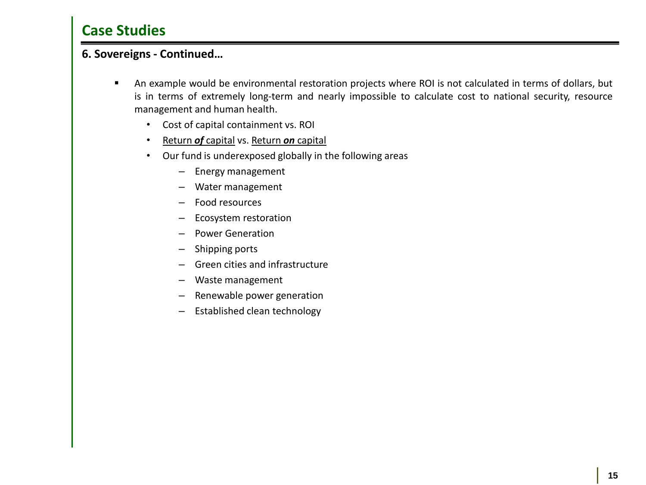#### **6. Sovereigns - Continued…**

- An example would be environmental restoration projects where ROI is not calculated in terms of dollars, but is in terms of extremely long-term and nearly impossible to calculate cost to national security, resource management and human health.
	- Cost of capital containment vs. ROI
	- Return *of* capital vs. Return *on* capital
	- Our fund is underexposed globally in the following areas
		- Energy management
		- Water management
		- Food resources
		- Ecosystem restoration
		- Power Generation
		- Shipping ports
		- Green cities and infrastructure
		- Waste management
		- Renewable power generation
		- Established clean technology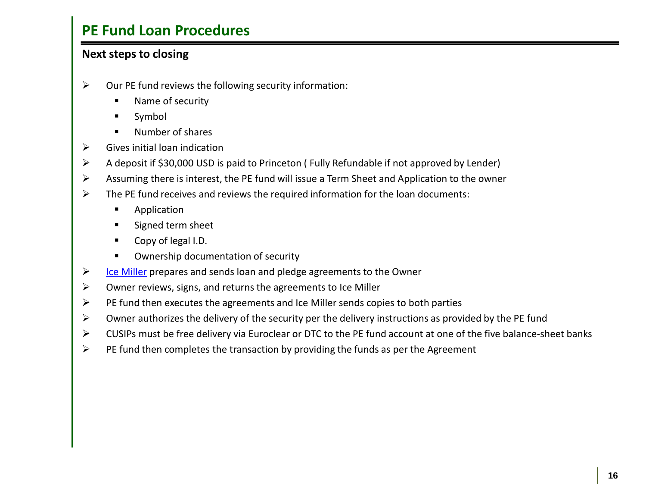## **PE Fund Loan Procedures**

### **Next steps to closing**

- $\triangleright$  Our PE fund reviews the following security information:
	- Name of security
	- Symbol
	- Number of shares
- $\triangleright$  Gives initial loan indication
- A deposit if \$30,000 USD is paid to Princeton ( Fully Refundable if not approved by Lender)
- $\triangleright$  Assuming there is interest, the PE fund will issue a Term Sheet and Application to the owner
- $\triangleright$  The PE fund receives and reviews the required information for the loan documents:
	- **Application**
	- **Signed term sheet**
	- Copy of legal I.D.
	- **EXECUTE:** Ownership documentation of security
- $\triangleright$  [Ice](http://www.icemiller.com/) [Miller](http://www.icemiller.com/) prepares and sends loan and pledge agreements to the Owner
- $\triangleright$  Owner reviews, signs, and returns the agreements to Ice Miller
- $\triangleright$  PE fund then executes the agreements and Ice Miller sends copies to both parties
- $\triangleright$  Owner authorizes the delivery of the security per the delivery instructions as provided by the PE fund
- $\triangleright$  CUSIPs must be free delivery via Euroclear or DTC to the PE fund account at one of the five balance-sheet banks
- $\triangleright$  PE fund then completes the transaction by providing the funds as per the Agreement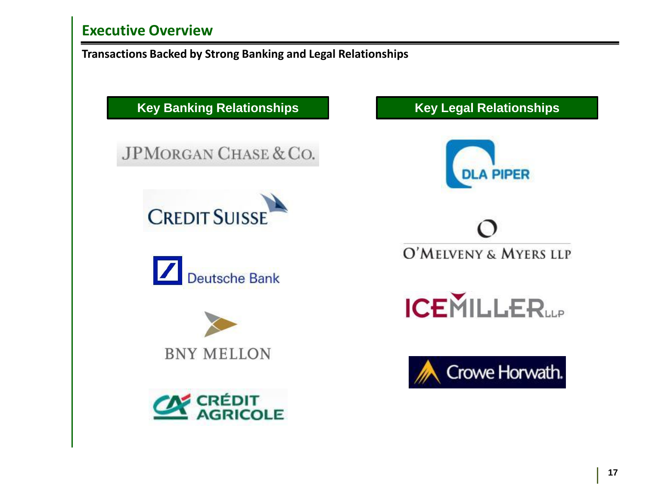